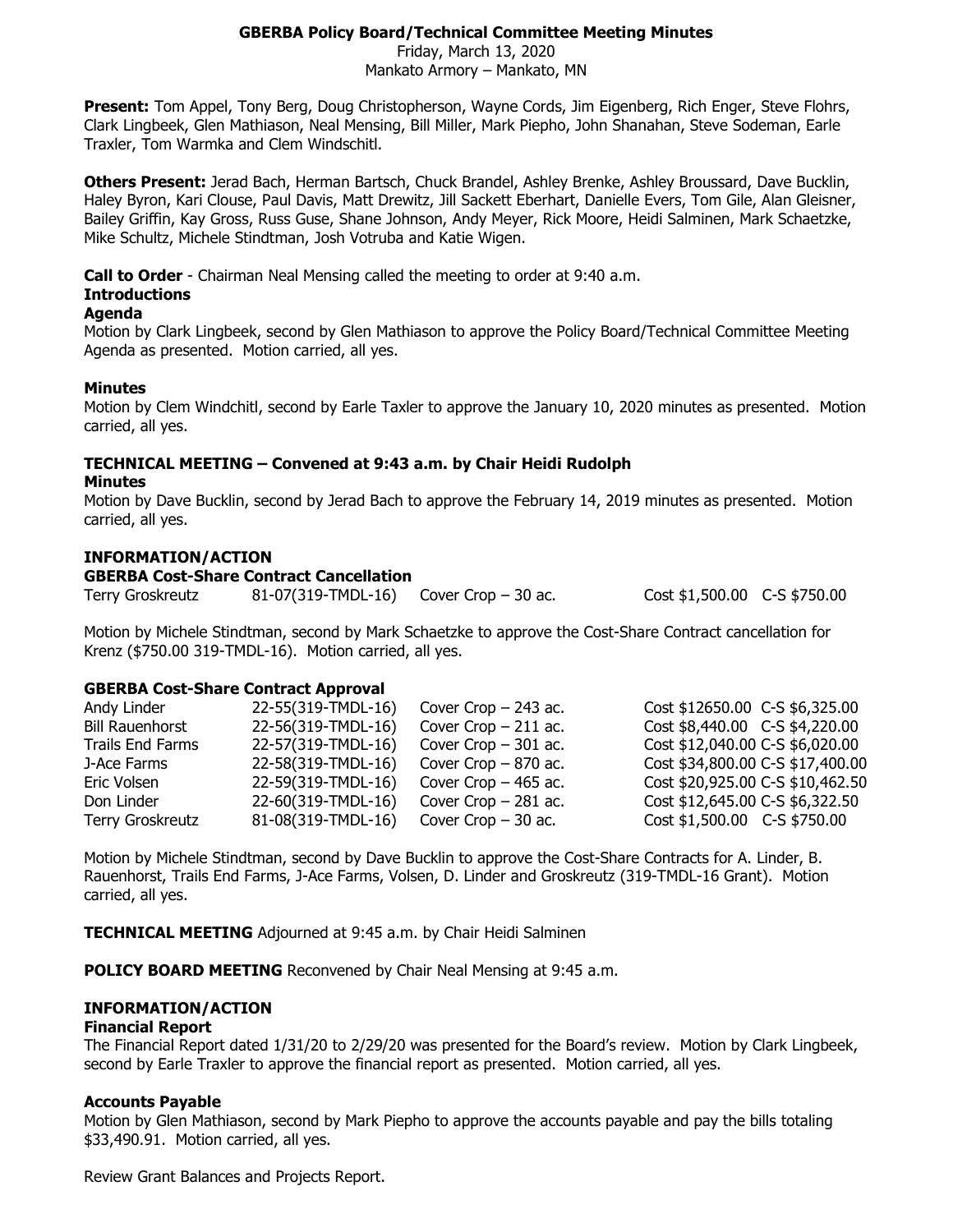# **GBERBA Policy Board/Technical Committee Meeting Minutes**

Friday, March 13, 2020 Mankato Armory – Mankato, MN

**Present:** Tom Appel, Tony Berg, Doug Christopherson, Wayne Cords, Jim Eigenberg, Rich Enger, Steve Flohrs, Clark Lingbeek, Glen Mathiason, Neal Mensing, Bill Miller, Mark Piepho, John Shanahan, Steve Sodeman, Earle Traxler, Tom Warmka and Clem Windschitl.

**Others Present:** Jerad Bach, Herman Bartsch, Chuck Brandel, Ashley Brenke, Ashley Broussard, Dave Bucklin, Haley Byron, Kari Clouse, Paul Davis, Matt Drewitz, Jill Sackett Eberhart, Danielle Evers, Tom Gile, Alan Gleisner, Bailey Griffin, Kay Gross, Russ Guse, Shane Johnson, Andy Meyer, Rick Moore, Heidi Salminen, Mark Schaetzke, Mike Schultz, Michele Stindtman, Josh Votruba and Katie Wigen.

**Call to Order** - Chairman Neal Mensing called the meeting to order at 9:40 a.m.

# **Introductions**

### **Agenda**

Motion by Clark Lingbeek, second by Glen Mathiason to approve the Policy Board/Technical Committee Meeting Agenda as presented. Motion carried, all yes.

### **Minutes**

Motion by Clem Windchitl, second by Earle Taxler to approve the January 10, 2020 minutes as presented. Motion carried, all yes.

# **TECHNICAL MEETING – Convened at 9:43 a.m. by Chair Heidi Rudolph**

### **Minutes**

Motion by Dave Bucklin, second by Jerad Bach to approve the February 14, 2019 minutes as presented. Motion carried, all yes.

### **INFORMATION/ACTION**

### **GBERBA Cost-Share Contract Cancellation**

Terry Groskreutz 81-07(319-TMDL-16) Cover Crop – 30 ac. Cost \$1,500.00 C-S \$750.00

Motion by Michele Stindtman, second by Mark Schaetzke to approve the Cost-Share Contract cancellation for Krenz (\$750.00 319-TMDL-16). Motion carried, all yes.

# **GBERBA Cost-Share Contract Approval**

| Andy Linder             | 22-55(319-TMDL-16) | Cover Crop $-$ 243 ac. | Cost \$12650.00 C-S \$6,325.00   |
|-------------------------|--------------------|------------------------|----------------------------------|
| <b>Bill Rauenhorst</b>  | 22-56(319-TMDL-16) | Cover Crop $-211$ ac.  | Cost \$8,440.00 C-S \$4,220.00   |
| <b>Trails End Farms</b> | 22-57(319-TMDL-16) | Cover Crop $-301$ ac.  | Cost \$12,040.00 C-S \$6,020.00  |
| J-Ace Farms             | 22-58(319-TMDL-16) | Cover Crop $-870$ ac.  | Cost \$34,800.00 C-S \$17,400.00 |
| Eric Volsen             | 22-59(319-TMDL-16) | Cover Crop $-465$ ac.  | Cost \$20,925.00 C-S \$10,462.50 |
| Don Linder              | 22-60(319-TMDL-16) | Cover Crop $-281$ ac.  | Cost \$12,645.00 C-S \$6,322.50  |
| Terry Groskreutz        | 81-08(319-TMDL-16) | Cover Crop $-30$ ac.   | Cost \$1,500.00 C-S \$750.00     |

Motion by Michele Stindtman, second by Dave Bucklin to approve the Cost-Share Contracts for A. Linder, B. Rauenhorst, Trails End Farms, J-Ace Farms, Volsen, D. Linder and Groskreutz (319-TMDL-16 Grant). Motion carried, all yes.

**TECHNICAL MEETING** Adjourned at 9:45 a.m. by Chair Heidi Salminen

**POLICY BOARD MEETING** Reconvened by Chair Neal Mensing at 9:45 a.m.

# **INFORMATION/ACTION**

### **Financial Report**

The Financial Report dated 1/31/20 to 2/29/20 was presented for the Board's review. Motion by Clark Lingbeek, second by Earle Traxler to approve the financial report as presented. Motion carried, all yes.

### **Accounts Payable**

Motion by Glen Mathiason, second by Mark Piepho to approve the accounts payable and pay the bills totaling \$33,490.91. Motion carried, all yes.

Review Grant Balances and Projects Report.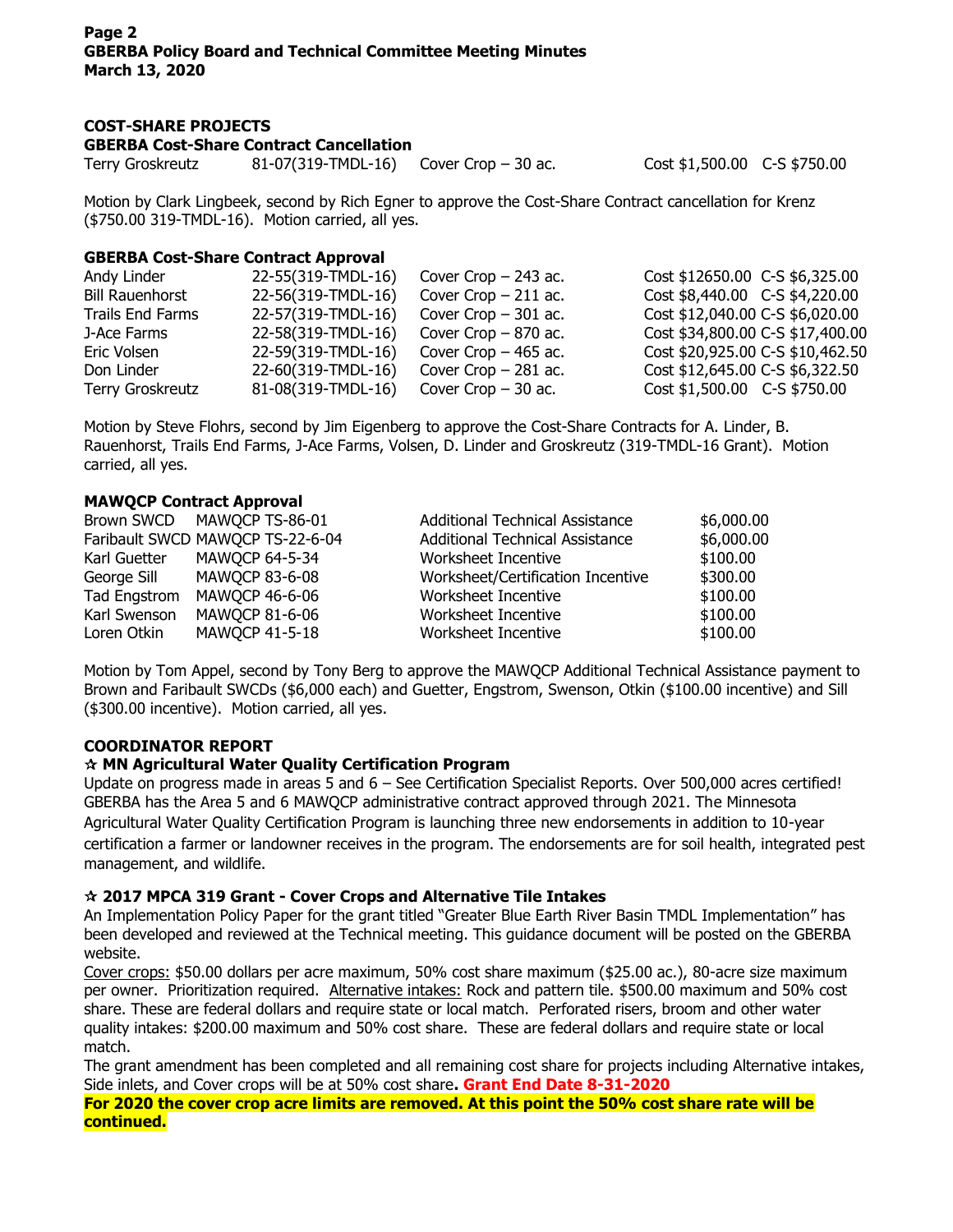# **COST-SHARE PROJECTS**

**GBERBA Cost-Share Contract Cancellation**

Terry Groskreutz 81-07(319-TMDL-16) Cover Crop – 30 ac. Cost \$1,500.00 C-S \$750.00

Motion by Clark Lingbeek, second by Rich Egner to approve the Cost-Share Contract cancellation for Krenz (\$750.00 319-TMDL-16). Motion carried, all yes.

# **GBERBA Cost-Share Contract Approval**

|                    |                    | Cost \$12650.00 C-S \$6,325.00                                                                                                                                              |
|--------------------|--------------------|-----------------------------------------------------------------------------------------------------------------------------------------------------------------------------|
| 22-56(319-TMDL-16) |                    | Cost \$8,440.00 C-S \$4,220.00                                                                                                                                              |
| 22-57(319-TMDL-16) |                    | Cost \$12,040.00 C-S \$6,020.00                                                                                                                                             |
| 22-58(319-TMDL-16) |                    | Cost \$34,800.00 C-S \$17,400.00                                                                                                                                            |
| 22-59(319-TMDL-16) |                    | Cost \$20,925.00 C-S \$10,462.50                                                                                                                                            |
| 22-60(319-TMDL-16) |                    | Cost \$12,645.00 C-S \$6,322.50                                                                                                                                             |
| 81-08(319-TMDL-16) |                    | $Cost $1,500.00$ C-S \$750.00                                                                                                                                               |
|                    | 22-55(319-TMDL-16) | Cover Crop $-$ 243 ac.<br>Cover Crop $-211$ ac.<br>Cover Crop $-301$ ac.<br>Cover Crop $-870$ ac.<br>Cover Crop $-465$ ac.<br>Cover Crop $-281$ ac.<br>Cover Crop $-30$ ac. |

Motion by Steve Flohrs, second by Jim Eigenberg to approve the Cost-Share Contracts for A. Linder, B. Rauenhorst, Trails End Farms, J-Ace Farms, Volsen, D. Linder and Groskreutz (319-TMDL-16 Grant). Motion carried, all yes.

# **MAWQCP Contract Approval**

|              | Brown SWCD MAWQCP TS-86-01       | <b>Additional Technical Assistance</b> | \$6,000.00 |
|--------------|----------------------------------|----------------------------------------|------------|
|              | Faribault SWCD MAWQCP TS-22-6-04 | <b>Additional Technical Assistance</b> | \$6,000.00 |
|              | Karl Guetter MAWQCP 64-5-34      | Worksheet Incentive                    | \$100.00   |
| George Sill  | MAWQCP 83-6-08                   | Worksheet/Certification Incentive      | \$300.00   |
| Tad Engstrom | MAWQCP 46-6-06                   | Worksheet Incentive                    | \$100.00   |
| Karl Swenson | MAWQCP 81-6-06                   | Worksheet Incentive                    | \$100.00   |
| Loren Otkin  | MAWQCP 41-5-18                   | Worksheet Incentive                    | \$100.00   |

Motion by Tom Appel, second by Tony Berg to approve the MAWQCP Additional Technical Assistance payment to Brown and Faribault SWCDs (\$6,000 each) and Guetter, Engstrom, Swenson, Otkin (\$100.00 incentive) and Sill (\$300.00 incentive). Motion carried, all yes.

# **COORDINATOR REPORT**

# **MN Agricultural Water Quality Certification Program**

Update on progress made in areas 5 and 6 – See Certification Specialist Reports. Over 500,000 acres certified! GBERBA has the Area 5 and 6 MAWQCP administrative contract approved through 2021. The Minnesota Agricultural Water Quality Certification Program is launching three new endorsements in addition to 10-year certification a farmer or landowner receives in the program. The endorsements are for soil health, integrated pest management, and wildlife.

# **2017 MPCA 319 Grant - Cover Crops and Alternative Tile Intakes**

An Implementation Policy Paper for the grant titled "Greater Blue Earth River Basin TMDL Implementation" has been developed and reviewed at the Technical meeting. This guidance document will be posted on the GBERBA website.

Cover crops: \$50.00 dollars per acre maximum, 50% cost share maximum (\$25.00 ac.), 80-acre size maximum per owner. Prioritization required. Alternative intakes: Rock and pattern tile. \$500.00 maximum and 50% cost share. These are federal dollars and require state or local match. Perforated risers, broom and other water quality intakes: \$200.00 maximum and 50% cost share. These are federal dollars and require state or local match.

The grant amendment has been completed and all remaining cost share for projects including Alternative intakes, Side inlets, and Cover crops will be at 50% cost share**. Grant End Date 8-31-2020**

**For 2020 the cover crop acre limits are removed. At this point the 50% cost share rate will be continued.**